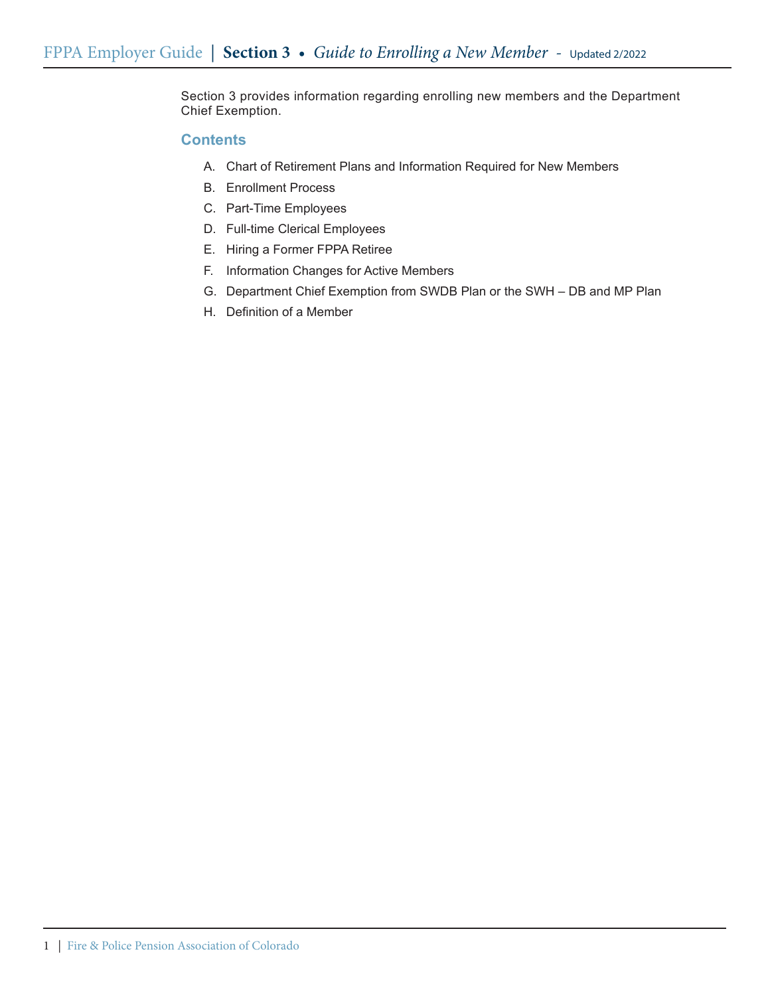Section 3 provides information regarding enrolling new members and the Department Chief Exemption.

# **Contents**

- A. Chart of Retirement Plans and Information Required for New Members
- B. Enrollment Process
- C. Part-Time Employees
- D. Full-time Clerical Employees
- E. Hiring a Former FPPA Retiree
- F. Information Changes for Active Members
- G. Department Chief Exemption from SWDB Plan or the SWH DB and MP Plan
- H. Definition of a Member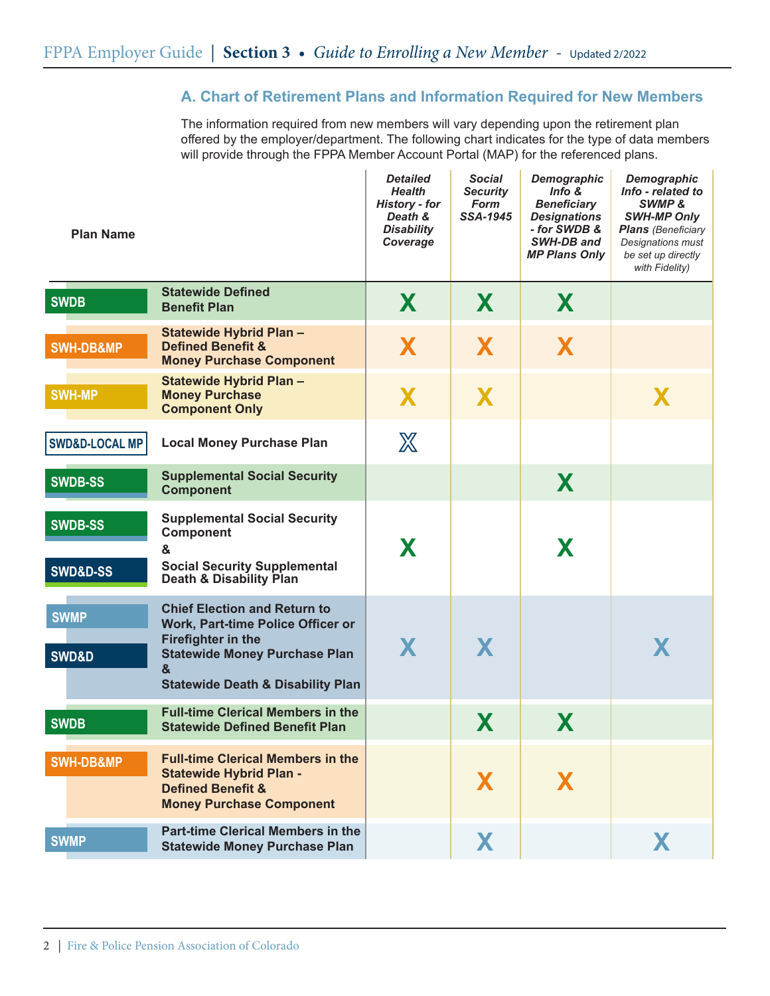# **A. Chart of Retirement Plans and Information Required for New Members**

The information required from new members will vary depending upon the retirement plan offered by the employer/department. The following chart indicates for the type of data members will provide through the FPPA Member Account Portal (MAP) for the referenced plans.

| <b>Plan Name</b>                      |                                                                                                                                                                                                    | <b>Detailed</b><br><b>Health</b><br>History - for<br>Death &<br><b>Disability</b><br>Coverage | <b>Social</b><br><b>Security</b><br><b>Form</b><br>SSA-1945 | <b>Demographic</b><br>Info $&$<br><b>Beneficiary</b><br><b>Designations</b><br>- for SWDB &<br>SWH-DB and<br><b>MP Plans Only</b> | Demographic<br>Info - related to<br>SWMP &<br><b>SWH-MP Only</b><br><b>Plans</b> (Beneficiary<br>Designations must<br>be set up directly<br>with Fidelity) |
|---------------------------------------|----------------------------------------------------------------------------------------------------------------------------------------------------------------------------------------------------|-----------------------------------------------------------------------------------------------|-------------------------------------------------------------|-----------------------------------------------------------------------------------------------------------------------------------|------------------------------------------------------------------------------------------------------------------------------------------------------------|
| <b>SWDB</b>                           | <b>Statewide Defined</b><br><b>Benefit Plan</b>                                                                                                                                                    | X                                                                                             | X.                                                          | X                                                                                                                                 |                                                                                                                                                            |
| <b>SWH-DB&amp;MP</b>                  | <b>Statewide Hybrid Plan -</b><br><b>Defined Benefit &amp;</b><br><b>Money Purchase Component</b>                                                                                                  | X                                                                                             | X                                                           | X                                                                                                                                 |                                                                                                                                                            |
| <b>SWH-MP</b>                         | Statewide Hybrid Plan -<br><b>Money Purchase</b><br><b>Component Only</b>                                                                                                                          | X                                                                                             | X                                                           |                                                                                                                                   | X                                                                                                                                                          |
| <b>SWD&amp;D-LOCAL MP</b>             | <b>Local Money Purchase Plan</b>                                                                                                                                                                   | $\mathbb{X}$                                                                                  |                                                             |                                                                                                                                   |                                                                                                                                                            |
| <b>SWDB-SS</b>                        | <b>Supplemental Social Security</b><br><b>Component</b>                                                                                                                                            |                                                                                               |                                                             | X                                                                                                                                 |                                                                                                                                                            |
| <b>SWDB-SS</b><br><b>SWD&amp;D-SS</b> | <b>Supplemental Social Security</b><br><b>Component</b><br>&<br><b>Social Security Supplemental</b><br>Death & Disability Plan                                                                     | X                                                                                             |                                                             | X                                                                                                                                 |                                                                                                                                                            |
| <b>SWMP</b><br><b>SWD&amp;D</b>       | <b>Chief Election and Return to</b><br>Work, Part-time Police Officer or<br><b>Firefighter in the</b><br><b>Statewide Money Purchase Plan</b><br>&<br><b>Statewide Death &amp; Disability Plan</b> | X                                                                                             | X                                                           |                                                                                                                                   | X                                                                                                                                                          |
| <b>SWDB</b>                           | <b>Full-time Clerical Members in the</b><br><b>Statewide Defined Benefit Plan</b>                                                                                                                  |                                                                                               | X                                                           | X                                                                                                                                 |                                                                                                                                                            |
| SWH-DB&MP                             | <b>Full-time Clerical Members in the</b><br><b>Statewide Hybrid Plan -</b><br><b>Defined Benefit &amp;</b><br><b>Money Purchase Component</b>                                                      |                                                                                               | X                                                           | X                                                                                                                                 |                                                                                                                                                            |
| <b>SWMP</b>                           | <b>Part-time Clerical Members in the</b><br><b>Statewide Money Purchase Plan</b>                                                                                                                   |                                                                                               | X                                                           |                                                                                                                                   | X.                                                                                                                                                         |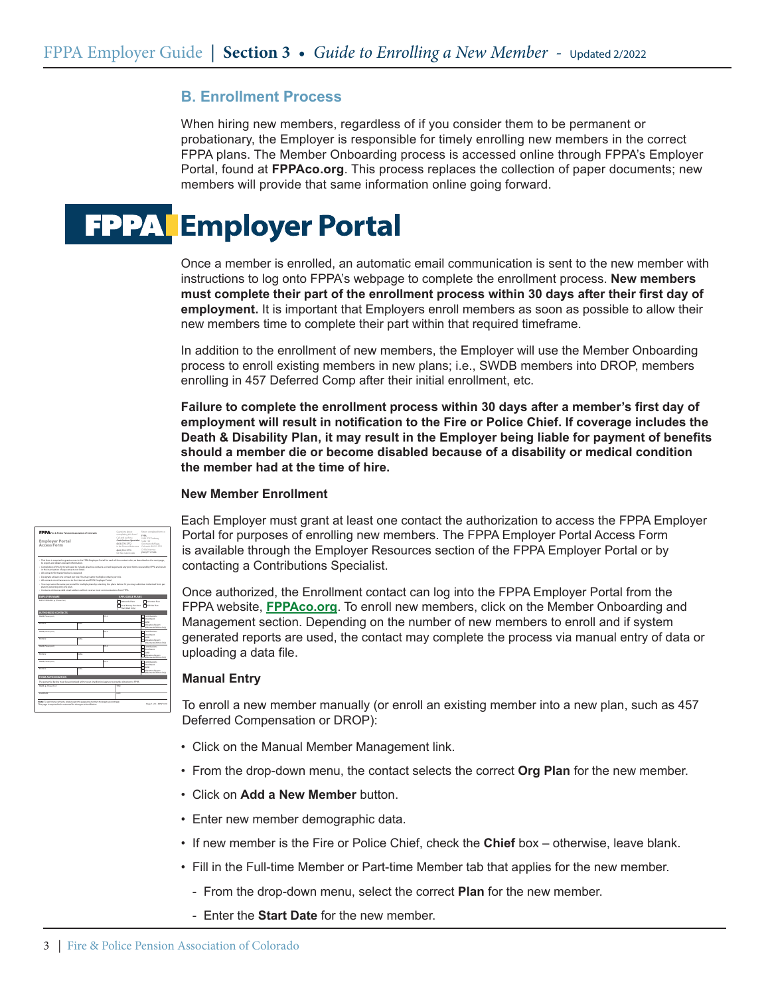# **B. Enrollment Process**

When hiring new members, regardless of if you consider them to be permanent or probationary, the Employer is responsible for timely enrolling new members in the correct FPPA plans. The Member Onboarding process is accessed online through FPPA's Employer Portal, found at **FPPAco.org**. This process replaces the collection of paper documents; new members will provide that same information online going forward.



Once a member is enrolled, an automatic email communication is sent to the new member with instructions to log onto FPPA's webpage to complete the enrollment process. **New members must complete their part of the enrollment process within 30 days after their first day of employment.** It is important that Employers enroll members as soon as possible to allow their new members time to complete their part within that required timeframe.

In addition to the enrollment of new members, the Employer will use the Member Onboarding process to enroll existing members in new plans; i.e., SWDB members into DROP, members enrolling in 457 Deferred Comp after their initial enrollment, etc.

**Failure to complete the enrollment process within 30 days after a member's first day of employment will result in notification to the Fire or Police Chief. If coverage includes the Death & Disability Plan, it may result in the Employer being liable for payment of benefits should a member die or become disabled because of a disability or medical condition the member had at the time of hire.**

#### **New Member Enrollment**

| FPPA Fee & Palice Pension Association of Colorado                                                                                                                                    |             | Question Labour.<br>completing this form?      | Return completed form to:<br>czos                                           |                                                                     |  |
|--------------------------------------------------------------------------------------------------------------------------------------------------------------------------------------|-------------|------------------------------------------------|-----------------------------------------------------------------------------|---------------------------------------------------------------------|--|
| <b>Employer Portal</b>                                                                                                                                                               |             | Call and askfor at<br>Contributions Specialist | \$290 DTC Parkway<br>Suite 100                                              |                                                                     |  |
| <b>Access Form</b>                                                                                                                                                                   |             | (803) 770-3772<br>in this Democratism was      | Greenwood Village.<br>Colorado, 60111-7721                                  |                                                                     |  |
|                                                                                                                                                                                      |             |                                                | (800) 332-3772<br>tall free nationwide                                      | Or EAV from no<br>(803) 771-7622                                    |  |
| - This form is required to crant access to the FPPA Employer Portal for each of the contact roles, as described on the next gage.<br>to report and obtain relevant information.      |             |                                                |                                                                             |                                                                     |  |
| - Completion of this form will need to include all active contacts as it will supersede any prior forms received by FPR and result<br>in the inactivation of any contacts not limed. |             |                                                |                                                                             |                                                                     |  |
| - All contact information below is required.                                                                                                                                         |             |                                                |                                                                             |                                                                     |  |
| - Designate at least one contact per role. You may name multiple contacts per role.                                                                                                  |             |                                                |                                                                             |                                                                     |  |
| - All contacts must have access to the internet and FPPA Employer Portal.                                                                                                            |             |                                                |                                                                             |                                                                     |  |
| - You may name the same personnel for multiple plans by selecting the plans below. Or you may submit an individual form per<br>gian by selecting only one plan.                      |             |                                                |                                                                             |                                                                     |  |
| - Contacts without a valid-email address will not receive most communications from FPPA.                                                                                             |             |                                                |                                                                             |                                                                     |  |
| <b>EMPLOYER NAME</b>                                                                                                                                                                 |             |                                                | APPLICABLE PLANS                                                            |                                                                     |  |
| EMPLOYER NAME # (Please Print)                                                                                                                                                       |             |                                                |                                                                             |                                                                     |  |
|                                                                                                                                                                                      |             |                                                | <b>Chicagode Plans</b><br>Boothwey Pashase Bolt Her Plan<br>Flan IDAD Only! | <b>This proper Plan</b>                                             |  |
| <b>AUTHORIZED CONTACTS</b>                                                                                                                                                           |             |                                                |                                                                             |                                                                     |  |
| MMI (Represent)                                                                                                                                                                      |             | <b>TITLE</b>                                   |                                                                             | Cortelladors                                                        |  |
|                                                                                                                                                                                      |             |                                                |                                                                             | Instead<br><b>CASE</b>                                              |  |
| <b>DOM A</b>                                                                                                                                                                         | <b>DALL</b> |                                                |                                                                             | Allegation Report<br>Maydew & Datries Only                          |  |
| MMI (Represent)                                                                                                                                                                      |             | TELE                                           |                                                                             | Gentlators<br><b><i><u>Spanishown</u></i></b>                       |  |
| PHOSE A                                                                                                                                                                              | <b>IMA</b>  |                                                |                                                                             | <b>These</b><br>Allegation Report<br>Makeller & District Oxfor      |  |
| MMI (Represent)                                                                                                                                                                      |             | <b>TITLE</b>                                   |                                                                             | Contributions<br><b><i><u>Spanishopper</u></i></b>                  |  |
| <b>PHOSE A</b>                                                                                                                                                                       | <b>DALL</b> |                                                |                                                                             | <b>Tassa</b><br>Allegation Report<br>Makedner & Distribution Christ |  |
| MML (Teamwood)                                                                                                                                                                       |             | <b>TITLE</b>                                   |                                                                             | Trunchensen<br>Institute                                            |  |
| <b>DOM A</b>                                                                                                                                                                         | TMAI        |                                                |                                                                             | г<br>CASE<br>Allocation Report<br>Mayow & Dates Odd                 |  |
| FORM AUTHORIZATION                                                                                                                                                                   |             |                                                |                                                                             |                                                                     |  |
| The personial below must be authorized within your city/district/agency to provide direction to FPPA.                                                                                |             |                                                |                                                                             |                                                                     |  |
|                                                                                                                                                                                      |             |                                                | ma                                                                          |                                                                     |  |
| MAIL * Pleasaching                                                                                                                                                                   |             |                                                | nem                                                                         |                                                                     |  |
| <b>SCHAFTING</b>                                                                                                                                                                     |             |                                                |                                                                             |                                                                     |  |

Each Employer must grant at least one contact the authorization to access the FPPA Employer Portal for purposes of enrolling new members. The FPPA Employer Portal Access Form is available through the Employer Resources section of the FPPA Employer Portal or by contacting a Contributions Specialist.

Once authorized, the Enrollment contact can log into the FPPA Employer Portal from the FPPA website, **FPPAco.org**. To enroll new members, click on the Member Onboarding and Management section. Depending on the number of new members to enroll and if system generated reports are used, the contact may complete the process via manual entry of data or uploading a data file.

### **Manual Entry**

To enroll a new member manually (or enroll an existing member into a new plan, such as 457 Deferred Compensation or DROP):

- Click on the Manual Member Management link.
- From the drop-down menu, the contact selects the correct **Org Plan** for the new member.
- Click on **Add a New Member** button.
- Enter new member demographic data.
- If new member is the Fire or Police Chief, check the **Chief** box otherwise, leave blank.
- Fill in the Full-time Member or Part-time Member tab that applies for the new member.
	- From the drop-down menu, select the correct **Plan** for the new member.
	- Enter the **Start Date** for the new member.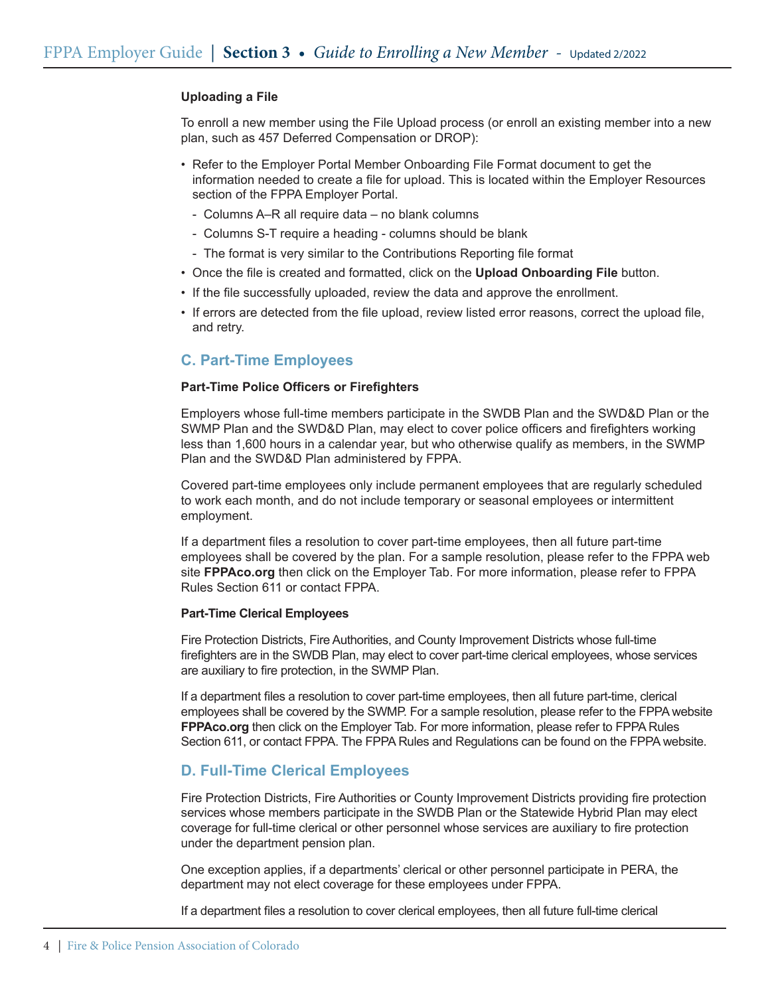### **Uploading a File**

To enroll a new member using the File Upload process (or enroll an existing member into a new plan, such as 457 Deferred Compensation or DROP):

- Refer to the Employer Portal Member Onboarding File Format document to get the information needed to create a file for upload. This is located within the Employer Resources section of the FPPA Employer Portal.
	- Columns A–R all require data no blank columns
	- Columns S-T require a heading columns should be blank
	- The format is very similar to the Contributions Reporting file format
- • Once the file is created and formatted, click on the **Upload Onboarding File** button.
- If the file successfully uploaded, review the data and approve the enrollment.
- If errors are detected from the file upload, review listed error reasons, correct the upload file, and retry.

### **C. Part-Time Employees**

#### **Part-Time Police Officers or Firefighters**

Employers whose full-time members participate in the SWDB Plan and the SWD&D Plan or the SWMP Plan and the SWD&D Plan, may elect to cover police officers and firefighters working less than 1,600 hours in a calendar year, but who otherwise qualify as members, in the SWMP Plan and the SWD&D Plan administered by FPPA.

Covered part-time employees only include permanent employees that are regularly scheduled to work each month, and do not include temporary or seasonal employees or intermittent employment.

If a department files a resolution to cover part-time employees, then all future part-time employees shall be covered by the plan. For a sample resolution, please refer to the FPPA web site **FPPAco.org** then click on the Employer Tab. For more information, please refer to FPPA Rules Section 611 or contact FPPA.

#### **Part-Time Clerical Employees**

Fire Protection Districts, Fire Authorities, and County Improvement Districts whose full-time firefighters are in the SWDB Plan, may elect to cover part-time clerical employees, whose services are auxiliary to fire protection, in the SWMP Plan.

If a department files a resolution to cover part-time employees, then all future part-time, clerical employees shall be covered by the SWMP. For a sample resolution, please refer to the FPPA website **FPPAco.org** then click on the Employer Tab. For more information, please refer to FPPA Rules Section 611, or contact FPPA. The FPPA Rules and Regulations can be found on the FPPA website.

## **D. Full-Time Clerical Employees**

Fire Protection Districts, Fire Authorities or County Improvement Districts providing fire protection services whose members participate in the SWDB Plan or the Statewide Hybrid Plan may elect coverage for full-time clerical or other personnel whose services are auxiliary to fire protection under the department pension plan.

One exception applies, if a departments' clerical or other personnel participate in PERA, the department may not elect coverage for these employees under FPPA.

If a department files a resolution to cover clerical employees, then all future full-time clerical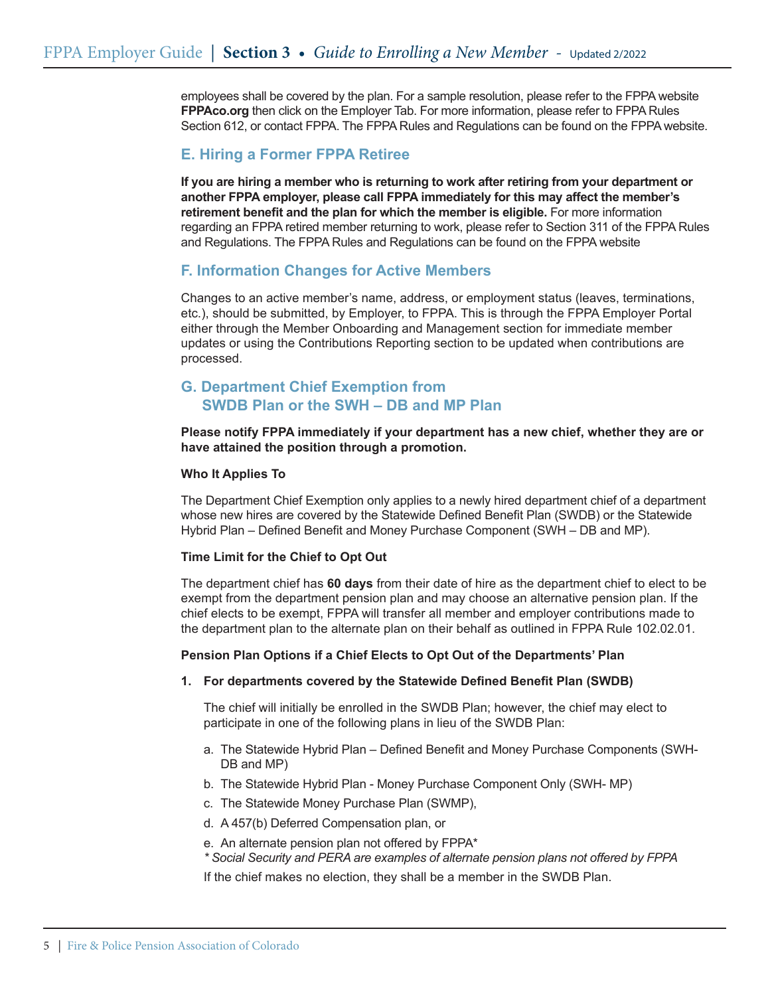employees shall be covered by the plan. For a sample resolution, please refer to the FPPA website **FPPAco.org** then click on the Employer Tab. For more information, please refer to FPPA Rules Section 612, or contact FPPA. The FPPA Rules and Regulations can be found on the FPPA website.

# **E. Hiring a Former FPPA Retiree**

**If you are hiring a member who is returning to work after retiring from your department or another FPPA employer, please call FPPA immediately for this may affect the member's retirement benefit and the plan for which the member is eligible.** For more information regarding an FPPA retired member returning to work, please refer to Section 311 of the FPPA Rules and Regulations. The FPPA Rules and Regulations can be found on the FPPA website

# **F. Information Changes for Active Members**

Changes to an active member's name, address, or employment status (leaves, terminations, etc.), should be submitted, by Employer, to FPPA. This is through the FPPA Employer Portal either through the Member Onboarding and Management section for immediate member updates or using the Contributions Reporting section to be updated when contributions are processed.

# **G. Department Chief Exemption from SWDB Plan or the SWH – DB and MP Plan**

### **Please notify FPPA immediately if your department has a new chief, whether they are or have attained the position through a promotion.**

### **Who It Applies To**

The Department Chief Exemption only applies to a newly hired department chief of a department whose new hires are covered by the Statewide Defined Benefit Plan (SWDB) or the Statewide Hybrid Plan – Defined Benefit and Money Purchase Component (SWH – DB and MP).

### **Time Limit for the Chief to Opt Out**

The department chief has **60 days** from their date of hire as the department chief to elect to be exempt from the department pension plan and may choose an alternative pension plan. If the chief elects to be exempt, FPPA will transfer all member and employer contributions made to the department plan to the alternate plan on their behalf as outlined in FPPA Rule 102.02.01.

### **Pension Plan Options if a Chief Elects to Opt Out of the Departments' Plan**

### **1. For departments covered by the Statewide Defined Benefit Plan (SWDB)**

The chief will initially be enrolled in the SWDB Plan; however, the chief may elect to participate in one of the following plans in lieu of the SWDB Plan:

- a. The Statewide Hybrid Plan Defined Benefit and Money Purchase Components (SWH-DB and MP)
- b. The Statewide Hybrid Plan Money Purchase Component Only (SWH- MP)
- c. The Statewide Money Purchase Plan (SWMP),
- d. A 457(b) Deferred Compensation plan, or
- e. An alternate pension plan not offered by FPPA\*
- *\* Social Security and PERA are examples of alternate pension plans not offered by FPPA*

If the chief makes no election, they shall be a member in the SWDB Plan.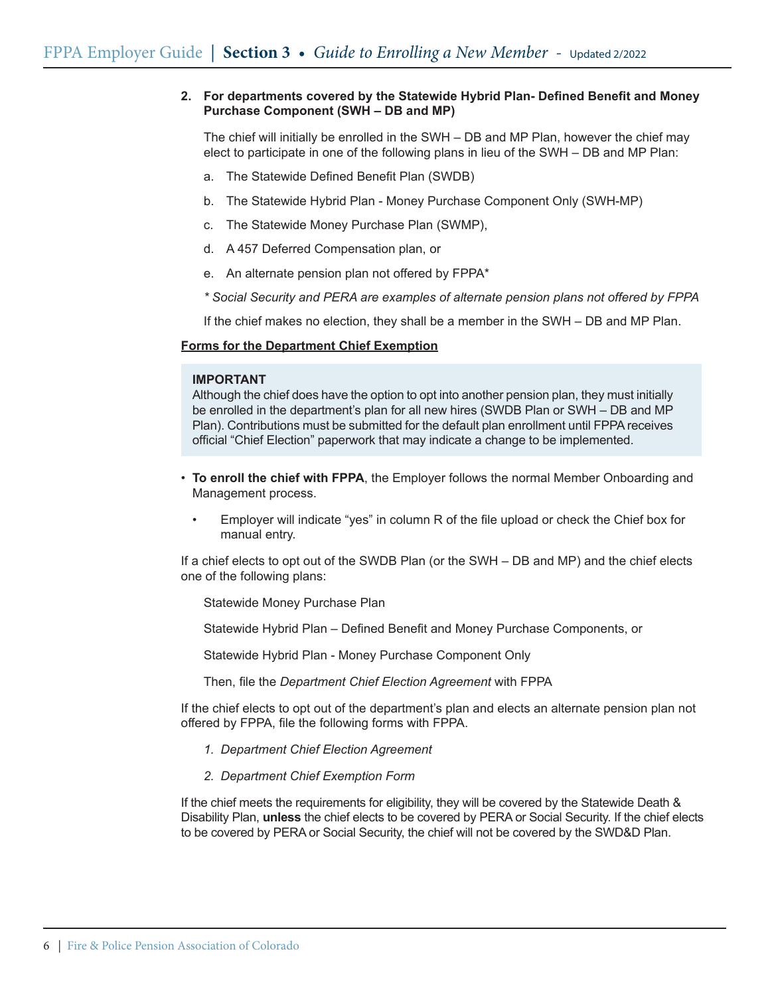### **2. For departments covered by the Statewide Hybrid Plan- Defined Benefit and Money Purchase Component (SWH – DB and MP)**

The chief will initially be enrolled in the SWH – DB and MP Plan, however the chief may elect to participate in one of the following plans in lieu of the SWH – DB and MP Plan:

- a. The Statewide Defined Benefit Plan (SWDB)
- b. The Statewide Hybrid Plan Money Purchase Component Only (SWH-MP)
- c. The Statewide Money Purchase Plan (SWMP),
- d. A 457 Deferred Compensation plan, or
- e. An alternate pension plan not offered by FPPA\*
- *\* Social Security and PERA are examples of alternate pension plans not offered by FPPA*

If the chief makes no election, they shall be a member in the SWH – DB and MP Plan.

### **Forms for the Department Chief Exemption**

#### **IMPORTANT**

Although the chief does have the option to opt into another pension plan, they must initially be enrolled in the department's plan for all new hires (SWDB Plan or SWH – DB and MP Plan). Contributions must be submitted for the default plan enrollment until FPPA receives official "Chief Election" paperwork that may indicate a change to be implemented.

- **To enroll the chief with FPPA**, the Employer follows the normal Member Onboarding and Management process.
	- Employer will indicate "yes" in column R of the file upload or check the Chief box for manual entry.

If a chief elects to opt out of the SWDB Plan (or the SWH – DB and MP) and the chief elects one of the following plans:

- Statewide Money Purchase Plan
- Statewide Hybrid Plan Defined Benefit and Money Purchase Components, or

Statewide Hybrid Plan - Money Purchase Component Only

Then, file the *Department Chief Election Agreement* with FPPA

If the chief elects to opt out of the department's plan and elects an alternate pension plan not offered by FPPA, file the following forms with FPPA.

- *1. Department Chief Election Agreement*
- *2. Department Chief Exemption Form*

If the chief meets the requirements for eligibility, they will be covered by the Statewide Death & Disability Plan, **unless** the chief elects to be covered by PERA or Social Security. If the chief elects to be covered by PERA or Social Security, the chief will not be covered by the SWD&D Plan.